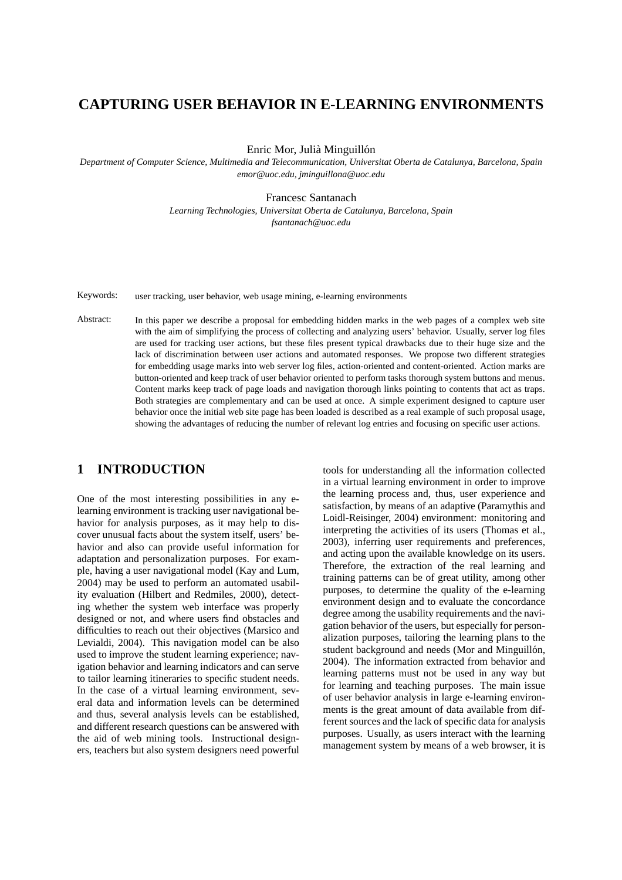# **CAPTURING USER BEHAVIOR IN E-LEARNING ENVIRONMENTS**

Enric Mor, Julià Minguillón

*Department of Computer Science, Multimedia and Telecommunication, Universitat Oberta de Catalunya, Barcelona, Spain emor@uoc.edu, jminguillona@uoc.edu*

Francesc Santanach

*Learning Technologies, Universitat Oberta de Catalunya, Barcelona, Spain fsantanach@uoc.edu*

Keywords: user tracking, user behavior, web usage mining, e-learning environments

Abstract: In this paper we describe a proposal for embedding hidden marks in the web pages of a complex web site with the aim of simplifying the process of collecting and analyzing users' behavior. Usually, server log files are used for tracking user actions, but these files present typical drawbacks due to their huge size and the lack of discrimination between user actions and automated responses. We propose two different strategies for embedding usage marks into web server log files, action-oriented and content-oriented. Action marks are button-oriented and keep track of user behavior oriented to perform tasks thorough system buttons and menus. Content marks keep track of page loads and navigation thorough links pointing to contents that act as traps. Both strategies are complementary and can be used at once. A simple experiment designed to capture user behavior once the initial web site page has been loaded is described as a real example of such proposal usage, showing the advantages of reducing the number of relevant log entries and focusing on specific user actions.

# **1 INTRODUCTION**

One of the most interesting possibilities in any elearning environment is tracking user navigational behavior for analysis purposes, as it may help to discover unusual facts about the system itself, users' behavior and also can provide useful information for adaptation and personalization purposes. For example, having a user navigational model (Kay and Lum, 2004) may be used to perform an automated usability evaluation (Hilbert and Redmiles, 2000), detecting whether the system web interface was properly designed or not, and where users find obstacles and difficulties to reach out their objectives (Marsico and Levialdi, 2004). This navigation model can be also used to improve the student learning experience; navigation behavior and learning indicators and can serve to tailor learning itineraries to specific student needs. In the case of a virtual learning environment, several data and information levels can be determined and thus, several analysis levels can be established, and different research questions can be answered with the aid of web mining tools. Instructional designers, teachers but also system designers need powerful

tools for understanding all the information collected in a virtual learning environment in order to improve the learning process and, thus, user experience and satisfaction, by means of an adaptive (Paramythis and Loidl-Reisinger, 2004) environment: monitoring and interpreting the activities of its users (Thomas et al., 2003), inferring user requirements and preferences, and acting upon the available knowledge on its users. Therefore, the extraction of the real learning and training patterns can be of great utility, among other purposes, to determine the quality of the e-learning environment design and to evaluate the concordance degree among the usability requirements and the navigation behavior of the users, but especially for personalization purposes, tailoring the learning plans to the student background and needs (Mor and Minguillón, 2004). The information extracted from behavior and learning patterns must not be used in any way but for learning and teaching purposes. The main issue of user behavior analysis in large e-learning environments is the great amount of data available from different sources and the lack of specific data for analysis purposes. Usually, as users interact with the learning management system by means of a web browser, it is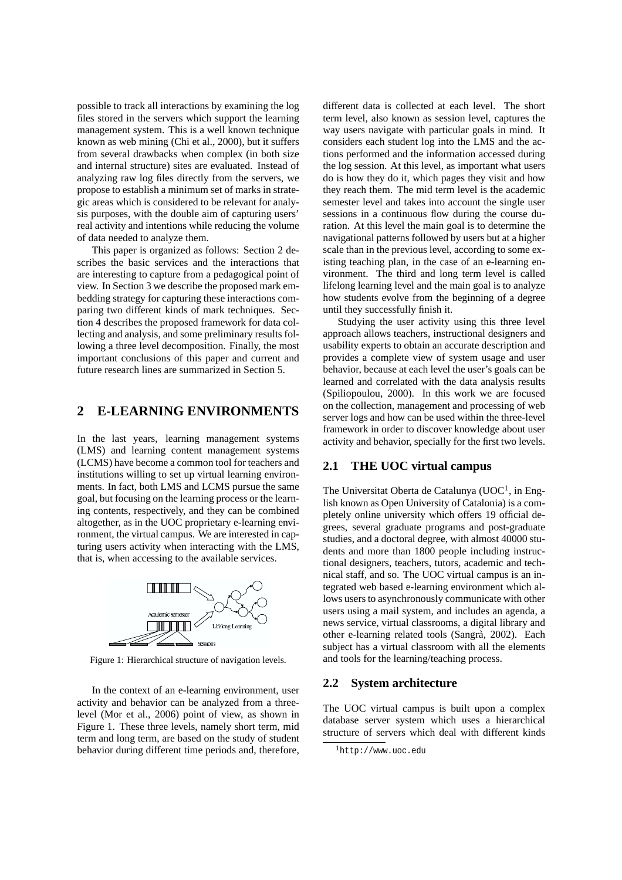possible to track all interactions by examining the log files stored in the servers which support the learning management system. This is a well known technique known as web mining (Chi et al., 2000), but it suffers from several drawbacks when complex (in both size and internal structure) sites are evaluated. Instead of analyzing raw log files directly from the servers, we propose to establish a minimum set of marks in strategic areas which is considered to be relevant for analysis purposes, with the double aim of capturing users' real activity and intentions while reducing the volume of data needed to analyze them.

This paper is organized as follows: Section 2 describes the basic services and the interactions that are interesting to capture from a pedagogical point of view. In Section 3 we describe the proposed mark embedding strategy for capturing these interactions comparing two different kinds of mark techniques. Section 4 describes the proposed framework for data collecting and analysis, and some preliminary results following a three level decomposition. Finally, the most important conclusions of this paper and current and future research lines are summarized in Section 5.

## **2 E-LEARNING ENVIRONMENTS**

In the last years, learning management systems (LMS) and learning content management systems (LCMS) have become a common tool for teachers and institutions willing to set up virtual learning environments. In fact, both LMS and LCMS pursue the same goal, but focusing on the learning process or the learning contents, respectively, and they can be combined altogether, as in the UOC proprietary e-learning environment, the virtual campus. We are interested in capturing users activity when interacting with the LMS, that is, when accessing to the available services.



Figure 1: Hierarchical structure of navigation levels.

In the context of an e-learning environment, user activity and behavior can be analyzed from a threelevel (Mor et al., 2006) point of view, as shown in Figure 1. These three levels, namely short term, mid term and long term, are based on the study of student behavior during different time periods and, therefore,

different data is collected at each level. The short term level, also known as session level, captures the way users navigate with particular goals in mind. It considers each student log into the LMS and the actions performed and the information accessed during the log session. At this level, as important what users do is how they do it, which pages they visit and how they reach them. The mid term level is the academic semester level and takes into account the single user sessions in a continuous flow during the course duration. At this level the main goal is to determine the navigational patterns followed by users but at a higher scale than in the previous level, according to some existing teaching plan, in the case of an e-learning environment. The third and long term level is called lifelong learning level and the main goal is to analyze how students evolve from the beginning of a degree until they successfully finish it.

Studying the user activity using this three level approach allows teachers, instructional designers and usability experts to obtain an accurate description and provides a complete view of system usage and user behavior, because at each level the user's goals can be learned and correlated with the data analysis results (Spiliopoulou, 2000). In this work we are focused on the collection, management and processing of web server logs and how can be used within the three-level framework in order to discover knowledge about user activity and behavior, specially for the first two levels.

#### **2.1 THE UOC virtual campus**

The Universitat Oberta de Catalunya (UOC<sup>1</sup>, in English known as Open University of Catalonia) is a completely online university which offers 19 official degrees, several graduate programs and post-graduate studies, and a doctoral degree, with almost 40000 students and more than 1800 people including instructional designers, teachers, tutors, academic and technical staff, and so. The UOC virtual campus is an integrated web based e-learning environment which allows users to asynchronously communicate with other users using a mail system, and includes an agenda, a news service, virtual classrooms, a digital library and other e-learning related tools (Sangra, 2002). Each ` subject has a virtual classroom with all the elements and tools for the learning/teaching process.

#### **2.2 System architecture**

The UOC virtual campus is built upon a complex database server system which uses a hierarchical structure of servers which deal with different kinds

<sup>1</sup>http://www.uoc.edu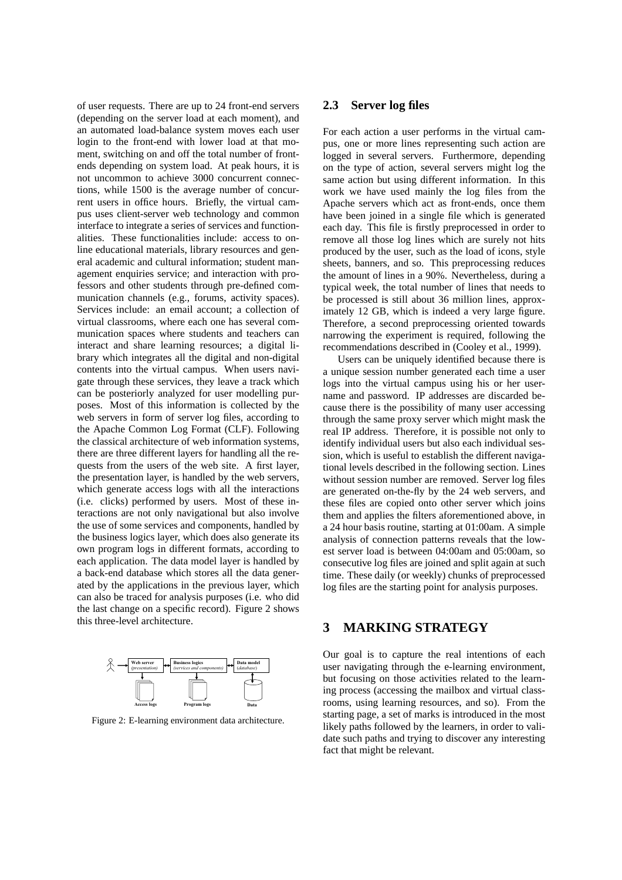of user requests. There are up to 24 front-end servers (depending on the server load at each moment), and an automated load-balance system moves each user login to the front-end with lower load at that moment, switching on and off the total number of frontends depending on system load. At peak hours, it is not uncommon to achieve 3000 concurrent connections, while 1500 is the average number of concurrent users in office hours. Briefly, the virtual campus uses client-server web technology and common interface to integrate a series of services and functionalities. These functionalities include: access to online educational materials, library resources and general academic and cultural information; student management enquiries service; and interaction with professors and other students through pre-defined communication channels (e.g., forums, activity spaces). Services include: an email account; a collection of virtual classrooms, where each one has several communication spaces where students and teachers can interact and share learning resources; a digital library which integrates all the digital and non-digital contents into the virtual campus. When users navigate through these services, they leave a track which can be posteriorly analyzed for user modelling purposes. Most of this information is collected by the web servers in form of server log files, according to the Apache Common Log Format (CLF). Following the classical architecture of web information systems, there are three different layers for handling all the requests from the users of the web site. A first layer, the presentation layer, is handled by the web servers, which generate access logs with all the interactions (i.e. clicks) performed by users. Most of these interactions are not only navigational but also involve the use of some services and components, handled by the business logics layer, which does also generate its own program logs in different formats, according to each application. The data model layer is handled by a back-end database which stores all the data generated by the applications in the previous layer, which can also be traced for analysis purposes (i.e. who did the last change on a specific record). Figure 2 shows this three-level architecture.



Figure 2: E-learning environment data architecture.

### **2.3 Server log files**

For each action a user performs in the virtual campus, one or more lines representing such action are logged in several servers. Furthermore, depending on the type of action, several servers might log the same action but using different information. In this work we have used mainly the log files from the Apache servers which act as front-ends, once them have been joined in a single file which is generated each day. This file is firstly preprocessed in order to remove all those log lines which are surely not hits produced by the user, such as the load of icons, style sheets, banners, and so. This preprocessing reduces the amount of lines in a 90%. Nevertheless, during a typical week, the total number of lines that needs to be processed is still about 36 million lines, approximately 12 GB, which is indeed a very large figure. Therefore, a second preprocessing oriented towards narrowing the experiment is required, following the recommendations described in (Cooley et al., 1999).

Users can be uniquely identified because there is a unique session number generated each time a user logs into the virtual campus using his or her username and password. IP addresses are discarded because there is the possibility of many user accessing through the same proxy server which might mask the real IP address. Therefore, it is possible not only to identify individual users but also each individual session, which is useful to establish the different navigational levels described in the following section. Lines without session number are removed. Server log files are generated on-the-fly by the 24 web servers, and these files are copied onto other server which joins them and applies the filters aforementioned above, in a 24 hour basis routine, starting at 01:00am. A simple analysis of connection patterns reveals that the lowest server load is between 04:00am and 05:00am, so consecutive log files are joined and split again at such time. These daily (or weekly) chunks of preprocessed log files are the starting point for analysis purposes.

## **3 MARKING STRATEGY**

Our goal is to capture the real intentions of each user navigating through the e-learning environment, but focusing on those activities related to the learning process (accessing the mailbox and virtual classrooms, using learning resources, and so). From the starting page, a set of marks is introduced in the most likely paths followed by the learners, in order to validate such paths and trying to discover any interesting fact that might be relevant.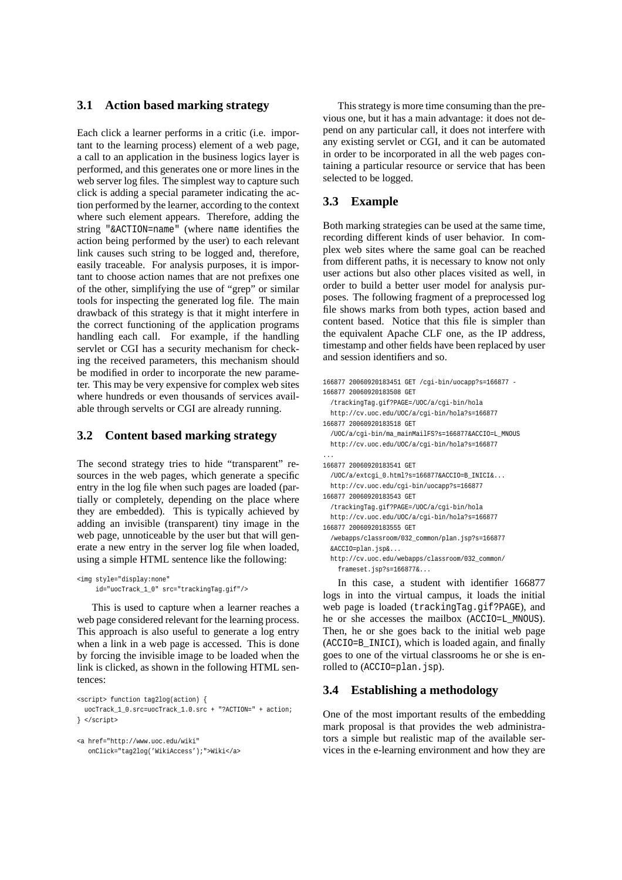### **3.1 Action based marking strategy**

Each click a learner performs in a critic (i.e. important to the learning process) element of a web page, a call to an application in the business logics layer is performed, and this generates one or more lines in the web server log files. The simplest way to capture such click is adding a special parameter indicating the action performed by the learner, according to the context where such element appears. Therefore, adding the string "&ACTION=name" (where name identifies the action being performed by the user) to each relevant link causes such string to be logged and, therefore, easily traceable. For analysis purposes, it is important to choose action names that are not prefixes one of the other, simplifying the use of "grep" or similar tools for inspecting the generated log file. The main drawback of this strategy is that it might interfere in the correct functioning of the application programs handling each call. For example, if the handling servlet or CGI has a security mechanism for checking the received parameters, this mechanism should be modified in order to incorporate the new parameter. This may be very expensive for complex web sites where hundreds or even thousands of services available through servelts or CGI are already running.

### **3.2 Content based marking strategy**

The second strategy tries to hide "transparent" resources in the web pages, which generate a specific entry in the log file when such pages are loaded (partially or completely, depending on the place where they are embedded). This is typically achieved by adding an invisible (transparent) tiny image in the web page, unnoticeable by the user but that will generate a new entry in the server log file when loaded, using a simple HTML sentence like the following:

```
<img style="display:none"
     id="uocTrack_1_0" src="trackingTag.gif"/>
```
This is used to capture when a learner reaches a web page considered relevant for the learning process. This approach is also useful to generate a log entry when a link in a web page is accessed. This is done by forcing the invisible image to be loaded when the link is clicked, as shown in the following HTML sentences:

```
<script> function tag2log(action) {
 uocTrack_1_0.src=uocTrack_1.0.src + "?ACTION=" + action;
} </script>
```
<a href="http://www.uoc.edu/wiki" onClick="tag2log('WikiAccess');">Wiki</a>

This strategy is more time consuming than the previous one, but it has a main advantage: it does not depend on any particular call, it does not interfere with any existing servlet or CGI, and it can be automated in order to be incorporated in all the web pages containing a particular resource or service that has been selected to be logged.

### **3.3 Example**

Both marking strategies can be used at the same time, recording different kinds of user behavior. In complex web sites where the same goal can be reached from different paths, it is necessary to know not only user actions but also other places visited as well, in order to build a better user model for analysis purposes. The following fragment of a preprocessed log file shows marks from both types, action based and content based. Notice that this file is simpler than the equivalent Apache CLF one, as the IP address, timestamp and other fields have been replaced by user and session identifiers and so.

```
166877 20060920183451 GET /cgi-bin/uocapp?s=166877 -
166877 20060920183508 GET
 /trackingTag.gif?PAGE=/UOC/a/cgi-bin/hola
 http://cv.uoc.edu/UOC/a/cgi-bin/hola?s=166877
166877 20060920183518 GET
  /UOC/a/cgi-bin/ma_mainMailFS?s=166877&ACCIO=L_MNOUS
 http://cv.uoc.edu/UOC/a/cgi-bin/hola?s=166877
...
166877 20060920183541 GET
  /UOC/a/extcgi_0.html?s=166877&ACCIO=B_INICI&...
 http://cv.uoc.edu/cgi-bin/uocapp?s=166877
166877 20060920183543 GET
  /trackingTag.gif?PAGE=/UOC/a/cgi-bin/hola
 http://cv.uoc.edu/UOC/a/cgi-bin/hola?s=166877
166877 20060920183555 GET
  /webapps/classroom/032_common/plan.jsp?s=166877
  &ACCIO=plan.jsp&...
 http://cv.uoc.edu/webapps/classroom/032_common/
    frameset.jsp?s=166877&...
```
In this case, a student with identifier 166877 logs in into the virtual campus, it loads the initial web page is loaded (trackingTag.gif?PAGE), and he or she accesses the mailbox (ACCIO=L\_MNOUS). Then, he or she goes back to the initial web page (ACCIO=B\_INICI), which is loaded again, and finally goes to one of the virtual classrooms he or she is enrolled to (ACCIO=plan.jsp).

### **3.4 Establishing a methodology**

One of the most important results of the embedding mark proposal is that provides the web administrators a simple but realistic map of the available services in the e-learning environment and how they are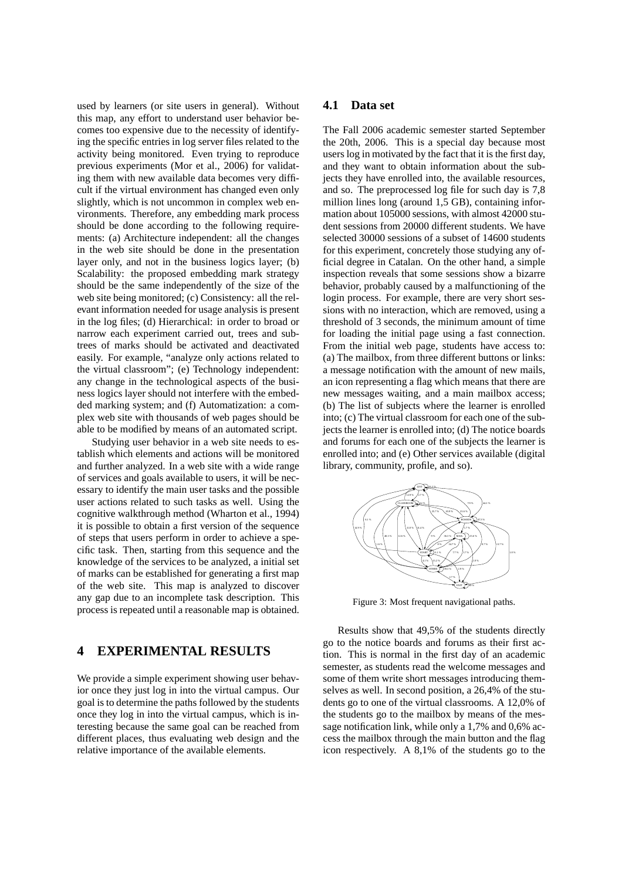used by learners (or site users in general). Without this map, any effort to understand user behavior becomes too expensive due to the necessity of identifying the specific entries in log server files related to the activity being monitored. Even trying to reproduce previous experiments (Mor et al., 2006) for validating them with new available data becomes very difficult if the virtual environment has changed even only slightly, which is not uncommon in complex web environments. Therefore, any embedding mark process should be done according to the following requirements: (a) Architecture independent: all the changes in the web site should be done in the presentation layer only, and not in the business logics layer; (b) Scalability: the proposed embedding mark strategy should be the same independently of the size of the web site being monitored; (c) Consistency: all the relevant information needed for usage analysis is present in the log files; (d) Hierarchical: in order to broad or narrow each experiment carried out, trees and subtrees of marks should be activated and deactivated easily. For example, "analyze only actions related to the virtual classroom"; (e) Technology independent: any change in the technological aspects of the business logics layer should not interfere with the embedded marking system; and (f) Automatization: a complex web site with thousands of web pages should be able to be modified by means of an automated script.

Studying user behavior in a web site needs to establish which elements and actions will be monitored and further analyzed. In a web site with a wide range of services and goals available to users, it will be necessary to identify the main user tasks and the possible user actions related to such tasks as well. Using the cognitive walkthrough method (Wharton et al., 1994) it is possible to obtain a first version of the sequence of steps that users perform in order to achieve a specific task. Then, starting from this sequence and the knowledge of the services to be analyzed, a initial set of marks can be established for generating a first map of the web site. This map is analyzed to discover any gap due to an incomplete task description. This process is repeated until a reasonable map is obtained.

## **4 EXPERIMENTAL RESULTS**

We provide a simple experiment showing user behavior once they just log in into the virtual campus. Our goal is to determine the paths followed by the students once they log in into the virtual campus, which is interesting because the same goal can be reached from different places, thus evaluating web design and the relative importance of the available elements.

#### **4.1 Data set**

The Fall 2006 academic semester started September the 20th, 2006. This is a special day because most users log in motivated by the fact that it is the first day, and they want to obtain information about the subjects they have enrolled into, the available resources, and so. The preprocessed log file for such day is 7,8 million lines long (around 1,5 GB), containing information about 105000 sessions, with almost 42000 student sessions from 20000 different students. We have selected 30000 sessions of a subset of 14600 students for this experiment, concretely those studying any official degree in Catalan. On the other hand, a simple inspection reveals that some sessions show a bizarre behavior, probably caused by a malfunctioning of the login process. For example, there are very short sessions with no interaction, which are removed, using a threshold of 3 seconds, the minimum amount of time for loading the initial page using a fast connection. From the initial web page, students have access to: (a) The mailbox, from three different buttons or links: a message notification with the amount of new mails, an icon representing a flag which means that there are new messages waiting, and a main mailbox access; (b) The list of subjects where the learner is enrolled into; (c) The virtual classroom for each one of the subjects the learner is enrolled into; (d) The notice boards and forums for each one of the subjects the learner is enrolled into; and (e) Other services available (digital library, community, profile, and so).



Figure 3: Most frequent navigational paths.

Results show that 49,5% of the students directly go to the notice boards and forums as their first action. This is normal in the first day of an academic semester, as students read the welcome messages and some of them write short messages introducing themselves as well. In second position, a 26,4% of the students go to one of the virtual classrooms. A 12,0% of the students go to the mailbox by means of the message notification link, while only a 1,7% and 0,6% access the mailbox through the main button and the flag icon respectively. A 8,1% of the students go to the